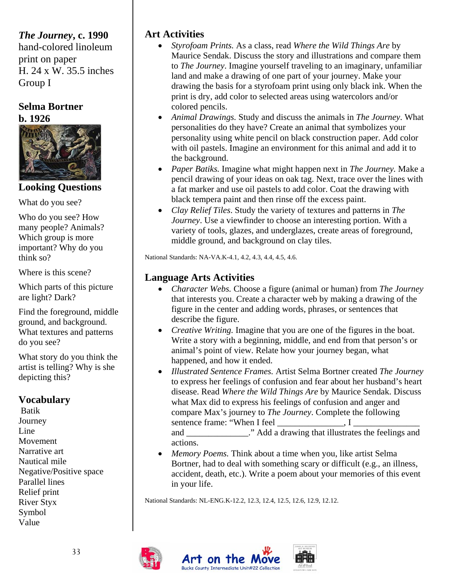# *The Journey***, c. 1990**

hand-colored linoleum print on paper H. 24 x W. 35.5 inches Group I

# **Selma Bortner b. 1926**



# **Looking Questions**

What do you see?

Who do you see? How many people? Animals? Which group is more important? Why do you think so?

Where is this scene?

Which parts of this picture are light? Dark?

Find the foreground, middle ground, and background. What textures and patterns do you see?

What story do you think the artist is telling? Why is she depicting this?

## **Vocabulary**

 Batik Journey Line Movement Narrative art Nautical mile Negative/Positive space Parallel lines Relief print River Styx Symbol Value

## **Art Activities**

- *Styrofoam Prints.* As a class, read *Where the Wild Things Are* by Maurice Sendak. Discuss the story and illustrations and compare them to *The Journey*. Imagine yourself traveling to an imaginary, unfamiliar land and make a drawing of one part of your journey. Make your drawing the basis for a styrofoam print using only black ink. When the print is dry, add color to selected areas using watercolors and/or colored pencils.
- *Animal Drawings.* Study and discuss the animals in *The Journey*. What personalities do they have? Create an animal that symbolizes your personality using white pencil on black construction paper. Add color with oil pastels. Imagine an environment for this animal and add it to the background.
- *Paper Batiks.* Imagine what might happen next in *The Journey.* Make a pencil drawing of your ideas on oak tag. Next, trace over the lines with a fat marker and use oil pastels to add color. Coat the drawing with black tempera paint and then rinse off the excess paint.
- *Clay Relief Tiles*. Study the variety of textures and patterns in *The Journey*. Use a viewfinder to choose an interesting portion. With a variety of tools, glazes, and underglazes, create areas of foreground, middle ground, and background on clay tiles.

National Standards: NA-VA.K-4.1, 4.2, 4.3, 4.4, 4.5, 4.6.

## **Language Arts Activities**

- *Character Webs.* Choose a figure (animal or human) from *The Journey* that interests you. Create a character web by making a drawing of the figure in the center and adding words, phrases, or sentences that describe the figure.
- *Creative Writing.* Imagine that you are one of the figures in the boat. Write a story with a beginning, middle, and end from that person's or animal's point of view. Relate how your journey began, what happened, and how it ended.
- *Illustrated Sentence Frames.* Artist Selma Bortner created *The Journey*  to express her feelings of confusion and fear about her husband's heart disease. Read *Where the Wild Things Are* by Maurice Sendak. Discuss what Max did to express his feelings of confusion and anger and compare Max's journey to *The Journey*. Complete the following sentence frame: "When I feel  $\qquad \qquad$  . I and \_\_\_\_\_\_\_\_\_\_\_\_\_." Add a drawing that illustrates the feelings and actions.
- *Memory Poems.* Think about a time when you, like artist Selma Bortner, had to deal with something scary or difficult (e.g., an illness, accident, death, etc.). Write a poem about your memories of this event in your life.

National Standards: NL-ENG.K-12.2, 12.3, 12.4, 12.5, 12.6, 12.9, 12.12.